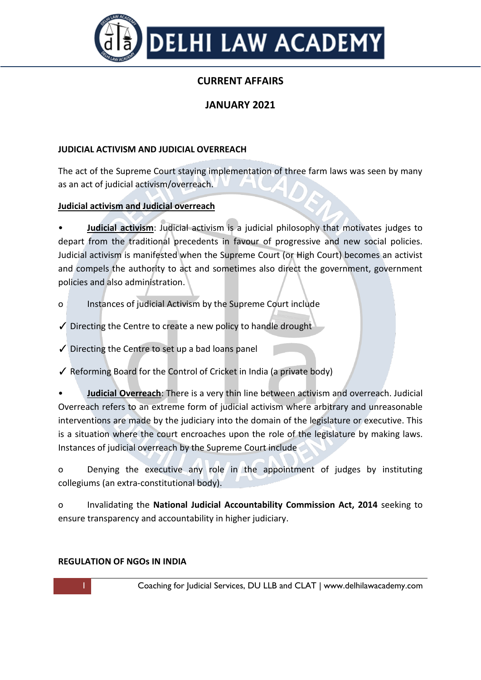

# **CURRENT AFFAIRS**

# **JANUARY 2021**

### **JUDICIAL ACTIVISM AND JUDICIAL OVERREACH**

The act of the Supreme Court staying implementation of three farm laws was seen by many as an act of judicial activism/overreach.

#### **Judicial activism and Judicial overreach**

• **Judicial activism**: Judicial activism is a judicial philosophy that motivates judges to depart from the traditional precedents in favour of progressive and new social policies. Judicial activism is manifested when the Supreme Court (or High Court) becomes an activist and compels the authority to act and sometimes also direct the government, government policies and also administration.

- o Instances of judicial Activism by the Supreme Court include
- ✓ Directing the Centre to create a new policy to handle drought
- $\checkmark$  Directing the Centre to set up a bad loans panel

✓ Reforming Board for the Control of Cricket in India (a private body)

• **Judicial Overreach**: There is a very thin line between activism and overreach. Judicial Overreach refers to an extreme form of judicial activism where arbitrary and unreasonable interventions are made by the judiciary into the domain of the legislature or executive. This is a situation where the court encroaches upon the role of the legislature by making laws. Instances of judicial overreach by the Supreme Court include

o Denying the executive any role in the appointment of judges by instituting collegiums (an extra-constitutional body).

o Invalidating the **National Judicial Accountability Commission Act, 2014** seeking to ensure transparency and accountability in higher judiciary.

#### **REGULATION OF NGOs IN INDIA**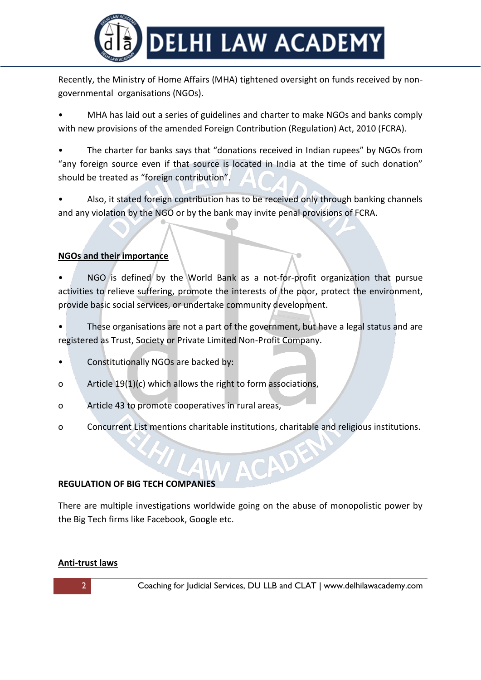

Recently, the Ministry of Home Affairs (MHA) tightened oversight on funds received by nongovernmental organisations (NGOs).

• MHA has laid out a series of guidelines and charter to make NGOs and banks comply with new provisions of the amended Foreign Contribution (Regulation) Act, 2010 (FCRA).

The charter for banks says that "donations received in Indian rupees" by NGOs from "any foreign source even if that source is located in India at the time of such donation" should be treated as "foreign contribution".

• Also, it stated foreign contribution has to be received only through banking channels and any violation by the NGO or by the bank may invite penal provisions of FCRA.

# **NGOs and their importance**

NGO is defined by the World Bank as a not-for-profit organization that pursue activities to relieve suffering, promote the interests of the poor, protect the environment, provide basic social services, or undertake community development.

These organisations are not a part of the government, but have a legal status and are registered as Trust, Society or Private Limited Non-Profit Company.

- Constitutionally NGOs are backed by:
- o Article 19(1)(c) which allows the right to form associations,
- o Article 43 to promote cooperatives in rural areas,
- o Concurrent List mentions charitable institutions, charitable and religious institutions.

# **REGULATION OF BIG TECH COMPANIES**

There are multiple investigations worldwide going on the abuse of monopolistic power by the Big Tech firms like Facebook, Google etc.

#### **Anti-trust laws**

2 **Coaching for Judicial Services, DU LLB and CLAT | www.delhilawacademy.com** 

ACADE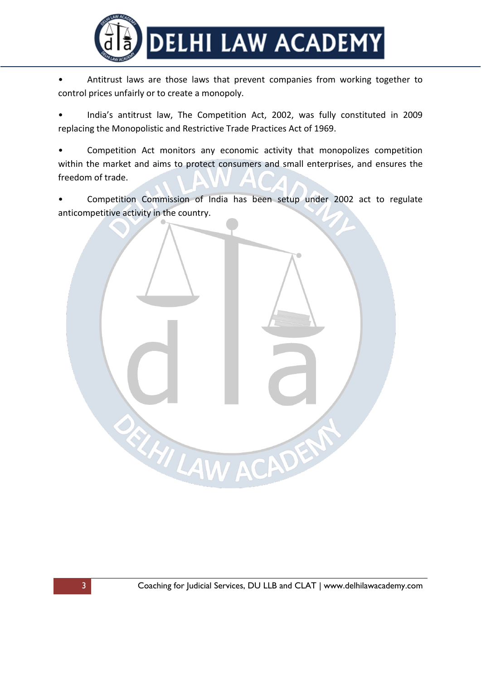

• Antitrust laws are those laws that prevent companies from working together to control prices unfairly or to create a monopoly.

• India's antitrust law, The Competition Act, 2002, was fully constituted in 2009 replacing the Monopolistic and Restrictive Trade Practices Act of 1969.

• Competition Act monitors any economic activity that monopolizes competition within the market and aims to protect consumers and small enterprises, and ensures the freedom of trade.

• Competition Commission of India has been setup under 2002 act to regulate anticompetitive activity in the country.

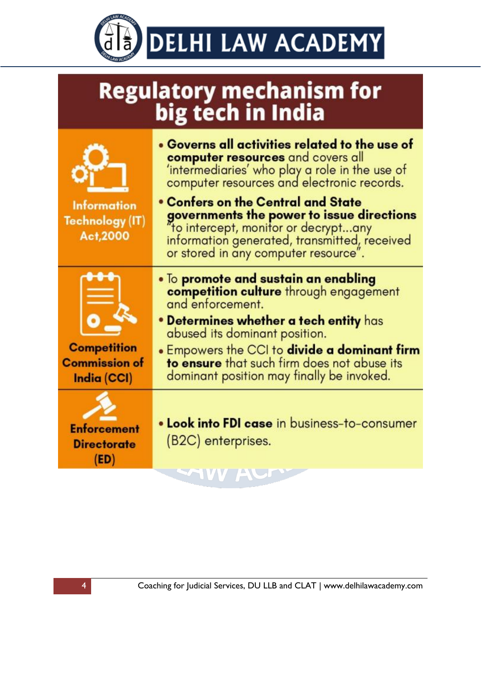

| <b>Regulatory mechanism for</b> |  |  |
|---------------------------------|--|--|
| big tech in India               |  |  |



**Information Technology (IT)** Act.2000



**Competition Commission of** India (CCI)



- Governs all activities related to the use of **computer resources** and covers all 'intermediaries' who play a role in the use of computer resources and electronic records.
- Confers on the Central and State governments the power to issue directions "to intercept, monitor or decrypt...any information generated, transmitted, received or stored in any computer resource".
- To promote and sustain an enabling competition culture through engagement and enforcement.
- Determines whether a tech entity has abused its dominant position.
- Empowers the CCI to divide a dominant firm to ensure that such firm does not abuse its dominant position may finally be invoked.
- . Look into FDI case in business-to-consumer (B2C) enterprises.

IVV AUF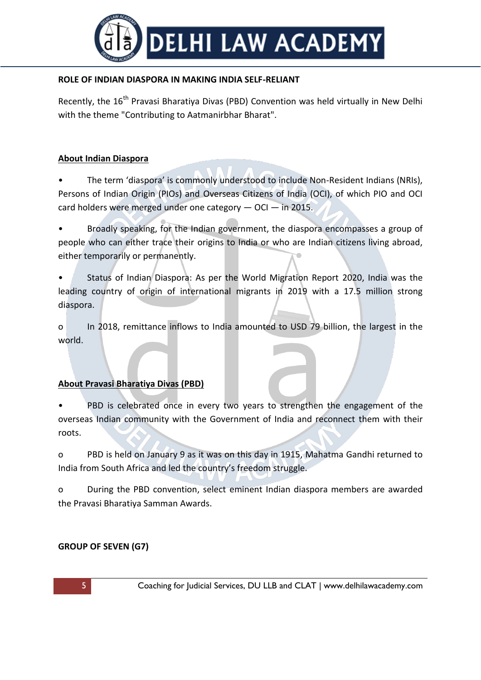

### **ROLE OF INDIAN DIASPORA IN MAKING INDIA SELF-RELIANT**

Recently, the 16<sup>th</sup> Pravasi Bharatiya Divas (PBD) Convention was held virtually in New Delhi with the theme "Contributing to Aatmanirbhar Bharat".

#### **About Indian Diaspora**

• The term 'diaspora' is commonly understood to include Non-Resident Indians (NRIs), Persons of Indian Origin (PIOs) and Overseas Citizens of India (OCI), of which PIO and OCI card holders were merged under one category — OCI — in 2015.

• Broadly speaking, for the Indian government, the diaspora encompasses a group of people who can either trace their origins to India or who are Indian citizens living abroad, either temporarily or permanently.

• Status of Indian Diaspora: As per the World Migration Report 2020, India was the leading country of origin of international migrants in 2019 with a 17.5 million strong diaspora.

o In 2018, remittance inflows to India amounted to USD 79 billion, the largest in the world.

#### **About Pravasi Bharatiya Divas (PBD)**

PBD is celebrated once in every two years to strengthen the engagement of the overseas Indian community with the Government of India and reconnect them with their roots.

o PBD is held on January 9 as it was on this day in 1915, Mahatma Gandhi returned to India from South Africa and led the country's freedom struggle.

o During the PBD convention, select eminent Indian diaspora members are awarded the Pravasi Bharatiya Samman Awards.

#### **GROUP OF SEVEN (G7)**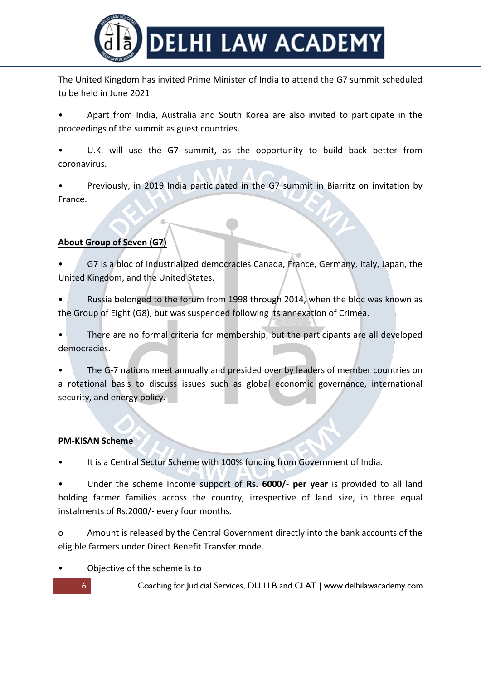

The United Kingdom has invited Prime Minister of India to attend the G7 summit scheduled to be held in June 2021.

• Apart from India, Australia and South Korea are also invited to participate in the proceedings of the summit as guest countries.

U.K. will use the G7 summit, as the opportunity to build back better from coronavirus.

• Previously, in 2019 India participated in the G7 summit in Biarritz on invitation by France.

# **About Group of Seven (G7)**

• G7 is a bloc of industrialized democracies Canada, France, Germany, Italy, Japan, the United Kingdom, and the United States.

• Russia belonged to the forum from 1998 through 2014, when the bloc was known as the Group of Eight (G8), but was suspended following its annexation of Crimea.

• There are no formal criteria for membership, but the participants are all developed democracies.

• The G-7 nations meet annually and presided over by leaders of member countries on a rotational basis to discuss issues such as global economic governance, international security, and energy policy.

#### **PM-KISAN Scheme**

It is a Central Sector Scheme with 100% funding from Government of India.

• Under the scheme Income support of **Rs. 6000/- per year** is provided to all land holding farmer families across the country, irrespective of land size, in three equal instalments of Rs.2000/- every four months.

o Amount is released by the Central Government directly into the bank accounts of the eligible farmers under Direct Benefit Transfer mode.

• Objective of the scheme is to

6 Coaching for Judicial Services, DU LLB and CLAT | www.delhilawacademy.com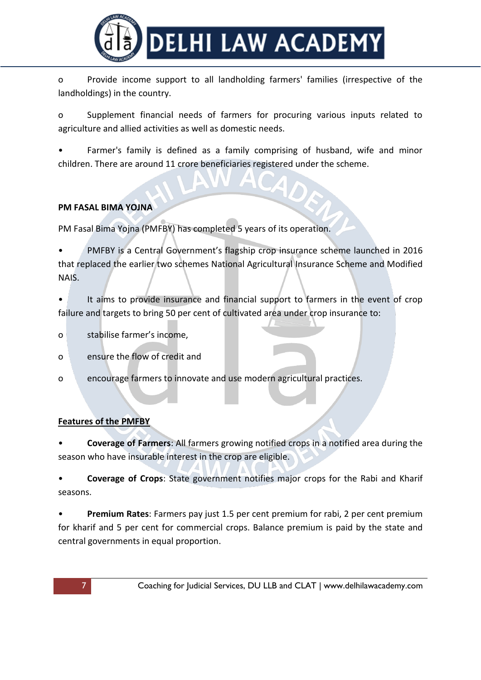

o Provide income support to all landholding farmers' families (irrespective of the landholdings) in the country.

o Supplement financial needs of farmers for procuring various inputs related to agriculture and allied activities as well as domestic needs.

• Farmer's family is defined as a family comprising of husband, wife and minor children. There are around 11 crore beneficiaries registered under the scheme.

#### **PM FASAL BIMA YOJNA**

PM Fasal Bima Yojna (PMFBY) has completed 5 years of its operation.

• PMFBY is a Central Government's flagship crop insurance scheme launched in 2016 that replaced the earlier two schemes National Agricultural Insurance Scheme and Modified NAIS.

It aims to provide insurance and financial support to farmers in the event of crop failure and targets to bring 50 per cent of cultivated area under crop insurance to:

- o stabilise farmer's income,
- o ensure the flow of credit and
- o encourage farmers to innovate and use modern agricultural practices.

# **Features of the PMFBY**

• **Coverage of Farmers**: All farmers growing notified crops in a notified area during the season who have insurable interest in the crop are eligible.

• **Coverage of Crops**: State government notifies major crops for the Rabi and Kharif seasons.

• **Premium Rates**: Farmers pay just 1.5 per cent premium for rabi, 2 per cent premium for kharif and 5 per cent for commercial crops. Balance premium is paid by the state and central governments in equal proportion.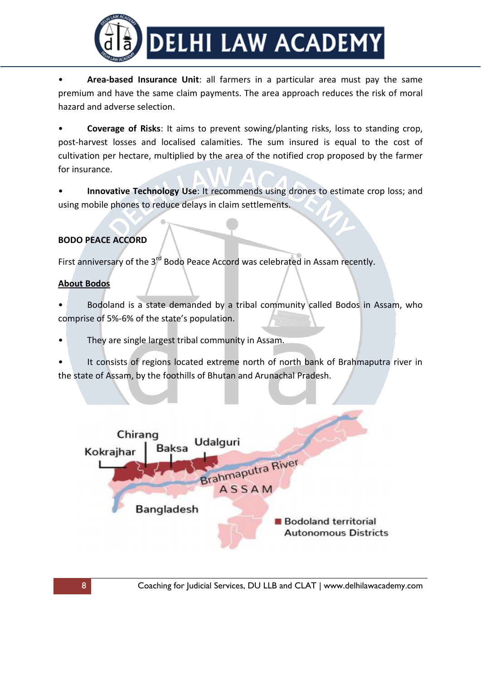

• **Area-based Insurance Unit**: all farmers in a particular area must pay the same premium and have the same claim payments. The area approach reduces the risk of moral hazard and adverse selection.

• **Coverage of Risks**: It aims to prevent sowing/planting risks, loss to standing crop, post-harvest losses and localised calamities. The sum insured is equal to the cost of cultivation per hectare, multiplied by the area of the notified crop proposed by the farmer for insurance.

• **Innovative Technology Use**: It recommends using drones to estimate crop loss; and using mobile phones to reduce delays in claim settlements.

# **BODO PEACE ACCORD**

First anniversary of the 3<sup>rd</sup> Bodo Peace Accord was celebrated in Assam recently.

#### **About Bodos**

- Bodoland is a state demanded by a tribal community called Bodos in Assam, who comprise of 5%-6% of the state's population.
- They are single largest tribal community in Assam.
- It consists of regions located extreme north of north bank of Brahmaputra river in the state of Assam, by the foothills of Bhutan and Arunachal Pradesh.

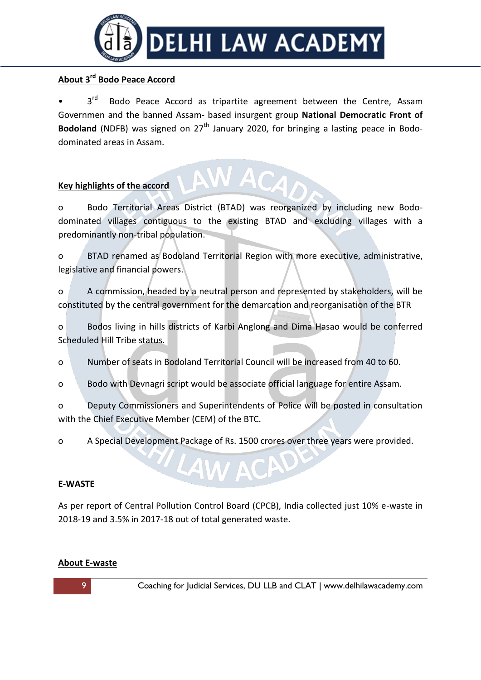

# **About 3rd Bodo Peace Accord**

 $3^{\text{rd}}$ Bodo Peace Accord as tripartite agreement between the Centre, Assam Governmen and the banned Assam- based insurgent group **National Democratic Front of Bodoland** (NDFB) was signed on 27<sup>th</sup> January 2020, for bringing a lasting peace in Bododominated areas in Assam.

#### **Key highlights of the accord**

o Bodo Territorial Areas District (BTAD) was reorganized by including new Bododominated villages contiguous to the existing BTAD and excluding villages with a predominantly non-tribal population.

o BTAD renamed as Bodoland Territorial Region with more executive, administrative, legislative and financial powers.

o A commission, headed by a neutral person and represented by stakeholders, will be constituted by the central government for the demarcation and reorganisation of the BTR

o Bodos living in hills districts of Karbi Anglong and Dima Hasao would be conferred Scheduled Hill Tribe status.

o Number of seats in Bodoland Territorial Council will be increased from 40 to 60.

o Bodo with Devnagri script would be associate official language for entire Assam.

o Deputy Commissioners and Superintendents of Police will be posted in consultation with the Chief Executive Member (CEM) of the BTC.

o A Special Development Package of Rs. 1500 crores over three years were provided.

#### **E-WASTE**

As per report of Central Pollution Control Board (CPCB), India collected just 10% e-waste in 2018-19 and 3.5% in 2017-18 out of total generated waste.

#### **About E-waste**

9 Coaching for Judicial Services, DU LLB and CLAT | www.delhilawacademy.com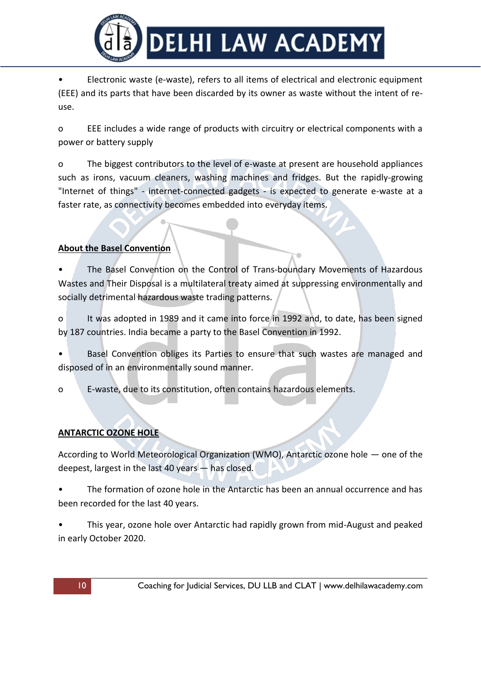

• Electronic waste (e-waste), refers to all items of electrical and electronic equipment (EEE) and its parts that have been discarded by its owner as waste without the intent of reuse.

o EEE includes a wide range of products with circuitry or electrical components with a power or battery supply

o The biggest contributors to the level of e-waste at present are household appliances such as irons, vacuum cleaners, washing machines and fridges. But the rapidly-growing "Internet of things" - internet-connected gadgets - is expected to generate e-waste at a faster rate, as connectivity becomes embedded into everyday items.

# **About the Basel Convention**

• The Basel Convention on the Control of Trans-boundary Movements of Hazardous Wastes and Their Disposal is a multilateral treaty aimed at suppressing environmentally and socially detrimental hazardous waste trading patterns.

o It was adopted in 1989 and it came into force in 1992 and, to date, has been signed by 187 countries. India became a party to the Basel Convention in 1992.

• Basel Convention obliges its Parties to ensure that such wastes are managed and disposed of in an environmentally sound manner.

o E-waste, due to its constitution, often contains hazardous elements.

# **ANTARCTIC OZONE HOLE**

According to World Meteorological Organization (WMO), Antarctic ozone hole — one of the deepest, largest in the last 40 years — has closed.

• The formation of ozone hole in the Antarctic has been an annual occurrence and has been recorded for the last 40 years.

• This year, ozone hole over Antarctic had rapidly grown from mid-August and peaked in early October 2020.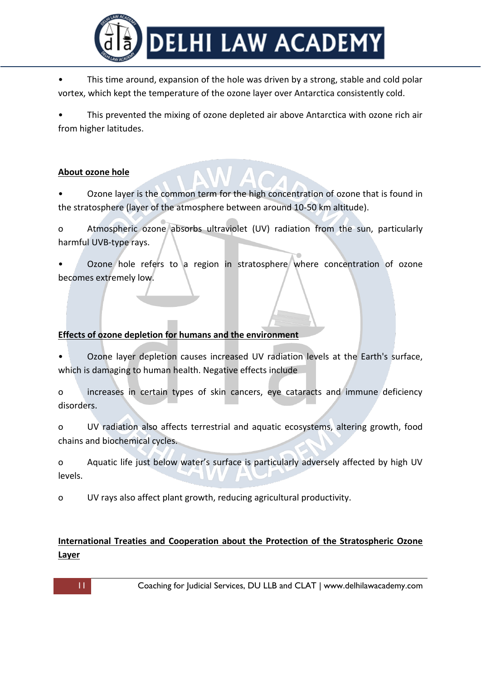

• This time around, expansion of the hole was driven by a strong, stable and cold polar vortex, which kept the temperature of the ozone layer over Antarctica consistently cold.

• This prevented the mixing of ozone depleted air above Antarctica with ozone rich air from higher latitudes.

# **About ozone hole**

• Ozone layer is the common term for the high concentration of ozone that is found in the stratosphere (layer of the atmosphere between around 10-50 km altitude).

o Atmospheric ozone absorbs ultraviolet (UV) radiation from the sun, particularly harmful UVB-type rays.

Ozone hole refers to a region in stratosphere where concentration of ozone becomes extremely low.

#### **Effects of ozone depletion for humans and the environment**

• Ozone layer depletion causes increased UV radiation levels at the Earth's surface, which is damaging to human health. Negative effects include

o increases in certain types of skin cancers, eye cataracts and immune deficiency disorders.

o UV radiation also affects terrestrial and aquatic ecosystems, altering growth, food chains and biochemical cycles.

o Aquatic life just below water's surface is particularly adversely affected by high UV levels.

o UV rays also affect plant growth, reducing agricultural productivity.

# **International Treaties and Cooperation about the Protection of the Stratospheric Ozone Layer**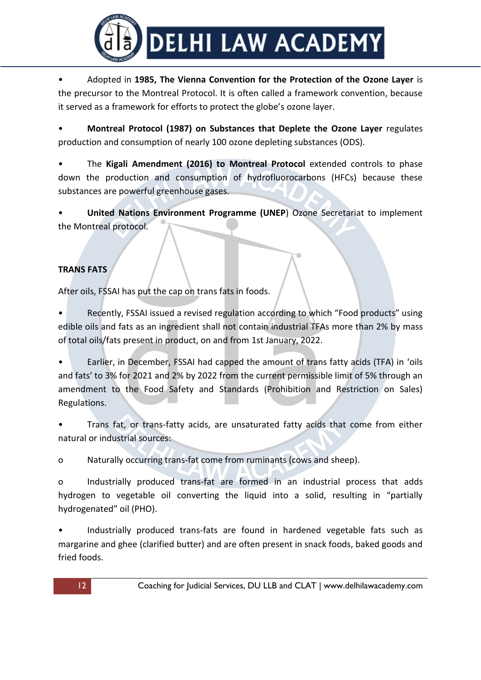

• Adopted in **1985, The Vienna Convention for the Protection of the Ozone Layer** is the precursor to the Montreal Protocol. It is often called a framework convention, because it served as a framework for efforts to protect the globe's ozone layer.

• **Montreal Protocol (1987) on Substances that Deplete the Ozone Layer** regulates production and consumption of nearly 100 ozone depleting substances (ODS).

• The **Kigali Amendment (2016) to Montreal Protocol** extended controls to phase down the production and consumption of hydrofluorocarbons (HFCs) because these substances are powerful greenhouse gases.

• **United Nations Environment Programme (UNEP**) Ozone Secretariat to implement the Montreal protocol.

# **TRANS FATS**

After oils, FSSAI has put the cap on trans fats in foods.

• Recently, FSSAI issued a revised regulation according to which "Food products" using edible oils and fats as an ingredient shall not contain industrial TFAs more than 2% by mass of total oils/fats present in product, on and from 1st January, 2022.

Earlier, in December, FSSAI had capped the amount of trans fatty acids (TFA) in 'oils and fats' to 3% for 2021 and 2% by 2022 from the current permissible limit of 5% through an amendment to the Food Safety and Standards (Prohibition and Restriction on Sales) Regulations.

• Trans fat, or trans-fatty acids, are unsaturated fatty acids that come from either natural or industrial sources:

o Naturally occurring trans-fat come from ruminants (cows and sheep).

o Industrially produced trans-fat are formed in an industrial process that adds hydrogen to vegetable oil converting the liquid into a solid, resulting in "partially hydrogenated" oil (PHO).

• Industrially produced trans-fats are found in hardened vegetable fats such as margarine and ghee (clarified butter) and are often present in snack foods, baked goods and fried foods.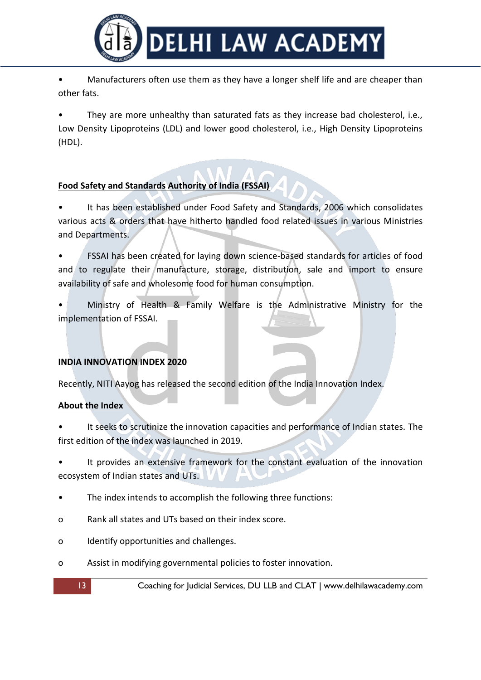

• Manufacturers often use them as they have a longer shelf life and are cheaper than other fats.

They are more unhealthy than saturated fats as they increase bad cholesterol, i.e., Low Density Lipoproteins (LDL) and lower good cholesterol, i.e., High Density Lipoproteins (HDL).

# **Food Safety and Standards Authority of India (FSSAI)**

It has been established under Food Safety and Standards, 2006 which consolidates various acts & orders that have hitherto handled food related issues in various Ministries and Departments.

• FSSAI has been created for laying down science-based standards for articles of food and to regulate their manufacture, storage, distribution, sale and import to ensure availability of safe and wholesome food for human consumption.

• Ministry of Health & Family Welfare is the Administrative Ministry for the implementation of FSSAI.

# **INDIA INNOVATION INDEX 2020**

Recently, NITI Aayog has released the second edition of the India Innovation Index.

# **About the Index**

It seeks to scrutinize the innovation capacities and performance of Indian states. The first edition of the index was launched in 2019.

• It provides an extensive framework for the constant evaluation of the innovation ecosystem of Indian states and UTs.

- The index intends to accomplish the following three functions:
- o Rank all states and UTs based on their index score.
- o Identify opportunities and challenges.
- o Assist in modifying governmental policies to foster innovation.

13 Coaching for Judicial Services, DU LLB and CLAT | www.delhilawacademy.com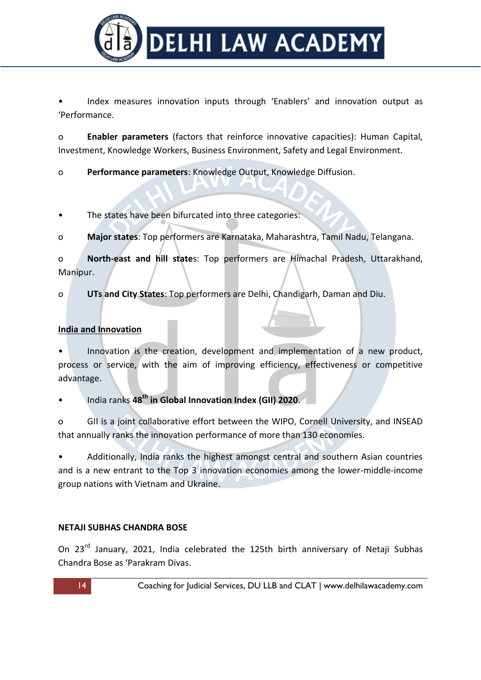

• Index measures innovation inputs through 'Enablers' and innovation output as 'Performance.

o **Enabler parameters** (factors that reinforce innovative capacities): Human Capital, Investment, Knowledge Workers, Business Environment, Safety and Legal Environment.

o **Performance parameters**: Knowledge Output, Knowledge Diffusion.

The states have been bifurcated into three categories:

o **Major states**: Top performers are Karnataka, Maharashtra, Tamil Nadu, Telangana.

o **North-east and hill state**s: Top performers are Himachal Pradesh, Uttarakhand, Manipur.

o **UTs and City States**: Top performers are Delhi, Chandigarh, Daman and Diu.

# **India and Innovation**

• Innovation is the creation, development and implementation of a new product, process or service, with the aim of improving efficiency, effectiveness or competitive advantage.

• India ranks **48th in Global Innovation Index (GII) 2020**.

o GII is a joint collaborative effort between the WIPO, Cornell University, and INSEAD that annually ranks the innovation performance of more than 130 economies.

• Additionally, India ranks the highest amongst central and southern Asian countries and is a new entrant to the Top 3 innovation economies among the lower-middle-income group nations with Vietnam and Ukraine.

# **NETAJI SUBHAS CHANDRA BOSE**

On 23<sup>rd</sup> January, 2021, India celebrated the 125th birth anniversary of Netaji Subhas Chandra Bose as 'Parakram Divas.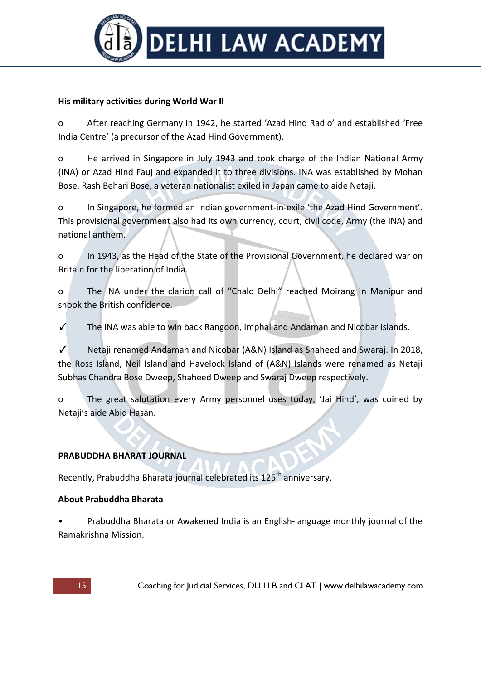

### **His military activities during World War II**

o After reaching Germany in 1942, he started 'Azad Hind Radio' and established 'Free India Centre' (a precursor of the Azad Hind Government).

o He arrived in Singapore in July 1943 and took charge of the Indian National Army (INA) or Azad Hind Fauj and expanded it to three divisions. INA was established by Mohan Bose. Rash Behari Bose, a veteran nationalist exiled in Japan came to aide Netaji.

o In Singapore, he formed an Indian government-in-exile 'the Azad Hind Government'. This provisional government also had its own currency, court, civil code, Army (the INA) and national anthem.

o In 1943, as the Head of the State of the Provisional Government, he declared war on Britain for the liberation of India.

o The INA under the clarion call of "Chalo Delhi" reached Moirang in Manipur and shook the British confidence.

The INA was able to win back Rangoon, Imphal and Andaman and Nicobar Islands.

✓ Netaji renamed Andaman and Nicobar (A&N) Island as Shaheed and Swaraj. In 2018, the Ross Island, Neil Island and Havelock Island of (A&N) Islands were renamed as Netaji Subhas Chandra Bose Dweep, Shaheed Dweep and Swaraj Dweep respectively.

o The great salutation every Army personnel uses today, 'Jai Hind', was coined by Netaji's aide Abid Hasan.

#### **PRABUDDHA BHARAT JOURNAL**

Recently, Prabuddha Bharata journal celebrated its 125<sup>th</sup> anniversary.

#### **About Prabuddha Bharata**

• Prabuddha Bharata or Awakened India is an English-language monthly journal of the Ramakrishna Mission.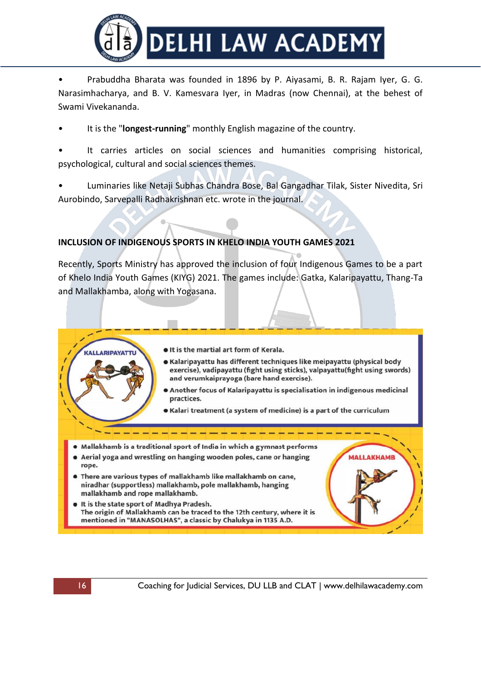

• Prabuddha Bharata was founded in 1896 by P. Aiyasami, B. R. Rajam Iyer, G. G. Narasimhacharya, and B. V. Kamesvara Iyer, in Madras (now Chennai), at the behest of Swami Vivekananda.

• It is the "**longest-running**" monthly English magazine of the country.

It carries articles on social sciences and humanities comprising historical, psychological, cultural and social sciences themes.

• Luminaries like Netaji Subhas Chandra Bose, Bal Gangadhar Tilak, Sister Nivedita, Sri Aurobindo, Sarvepalli Radhakrishnan etc. wrote in the journal.

# **INCLUSION OF INDIGENOUS SPORTS IN KHELO INDIA YOUTH GAMES 2021**

 $\bullet$ 

Recently, Sports Ministry has approved the inclusion of four Indigenous Games to be a part of Khelo India Youth Games (KIYG) 2021. The games include: Gatka, Kalaripayattu, Thang-Ta and Mallakhamba, along with Yogasana.

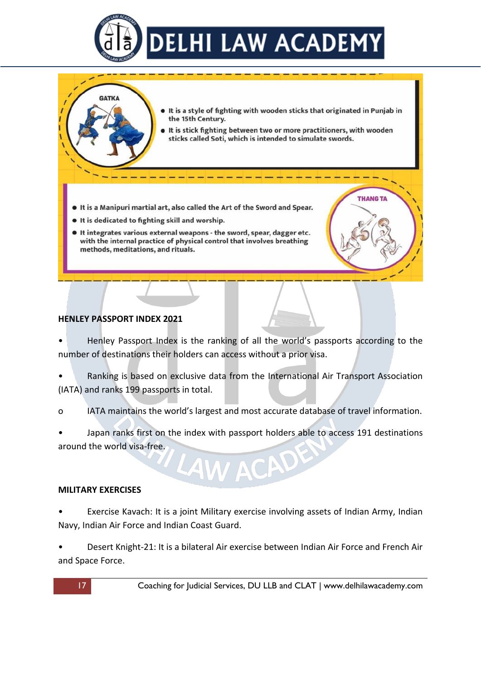

It is a style of fighting with wooden sticks that originated in Punjab in the 15th Century.

**THANG TA** 

- It is stick fighting between two or more practitioners, with wooden sticks called Soti, which is intended to simulate swords.
- . It is a Manipuri martial art, also called the Art of the Sword and Spear.
- It is dedicated to fighting skill and worship.
- . It integrates various external weapons the sword, spear, dagger etc. with the internal practice of physical control that involves breathing methods, meditations, and rituals.

#### **HENLEY PASSPORT INDEX 2021**

**GATKA** 

• Henley Passport Index is the ranking of all the world's passports according to the number of destinations their holders can access without a prior visa.

- Ranking is based on exclusive data from the International Air Transport Association (IATA) and ranks 199 passports in total.
- o IATA maintains the world's largest and most accurate database of travel information.
- Japan ranks first on the index with passport holders able to access 191 destinations around the world visa-free.

#### **MILITARY EXERCISES**

- Exercise Kavach: It is a joint Military exercise involving assets of Indian Army, Indian Navy, Indian Air Force and Indian Coast Guard.
- Desert Knight-21: It is a bilateral Air exercise between Indian Air Force and French Air and Space Force.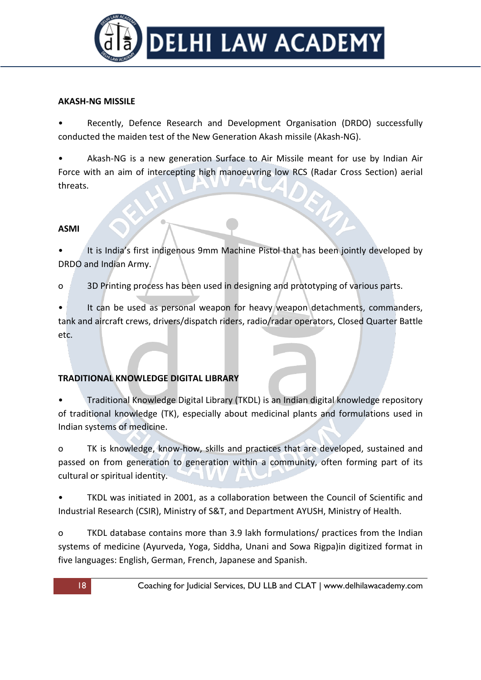

#### **AKASH-NG MISSILE**

• Recently, Defence Research and Development Organisation (DRDO) successfully conducted the maiden test of the New Generation Akash missile (Akash-NG).

• Akash-NG is a new generation Surface to Air Missile meant for use by Indian Air Force with an aim of intercepting high manoeuvring low RCS (Radar Cross Section) aerial threats.

# **ASMI**

It is India's first indigenous 9mm Machine Pistol that has been jointly developed by DRDO and Indian Army.

o 3D Printing process has been used in designing and prototyping of various parts.

It can be used as personal weapon for heavy weapon detachments, commanders, tank and aircraft crews, drivers/dispatch riders, radio/radar operators, Closed Quarter Battle etc.

# **TRADITIONAL KNOWLEDGE DIGITAL LIBRARY**

• Traditional Knowledge Digital Library (TKDL) is an Indian digital knowledge repository of traditional knowledge (TK), especially about medicinal plants and formulations used in Indian systems of medicine.

o TK is knowledge, know-how, skills and practices that are developed, sustained and passed on from generation to generation within a community, often forming part of its cultural or spiritual identity.

• TKDL was initiated in 2001, as a collaboration between the Council of Scientific and Industrial Research (CSIR), Ministry of S&T, and Department AYUSH, Ministry of Health.

o TKDL database contains more than 3.9 lakh formulations/ practices from the Indian systems of medicine (Ayurveda, Yoga, Siddha, Unani and Sowa Rigpa)in digitized format in five languages: English, German, French, Japanese and Spanish.